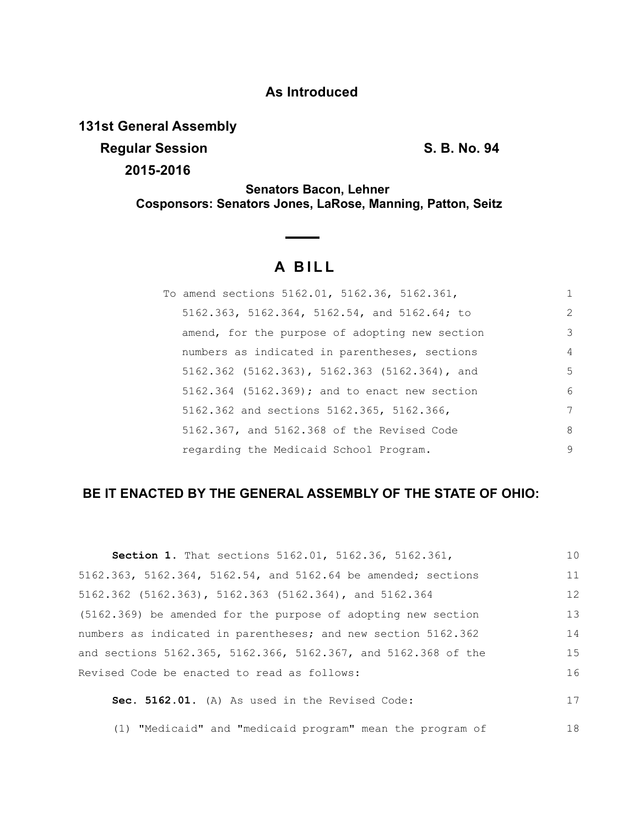### **As Introduced**

**131st General Assembly**

**Regular Session S. B. No. 94** 

**2015-2016**

**Senators Bacon, Lehner Cosponsors: Senators Jones, LaRose, Manning, Patton, Seitz**

# **A B I L L**

| To amend sections 5162.01, 5162.36, 5162.361,  | 1 |
|------------------------------------------------|---|
| 5162.363, 5162.364, 5162.54, and 5162.64; to   | 2 |
| amend, for the purpose of adopting new section | 3 |
| numbers as indicated in parentheses, sections  | 4 |
| 5162.362 (5162.363), 5162.363 (5162.364), and  | 5 |
| 5162.364 (5162.369); and to enact new section  | 6 |
| 5162.362 and sections 5162.365, 5162.366,      | 7 |
| 5162.367, and 5162.368 of the Revised Code     | 8 |
| regarding the Medicaid School Program.         | 9 |

## **BE IT ENACTED BY THE GENERAL ASSEMBLY OF THE STATE OF OHIO:**

| <b>Section 1.</b> That sections 5162.01, 5162.36, 5162.361,    | 10 |
|----------------------------------------------------------------|----|
| 5162.363, 5162.364, 5162.54, and 5162.64 be amended; sections  | 11 |
| $5162.362$ (5162.363), 5162.363 (5162.364), and 5162.364       | 12 |
| (5162.369) be amended for the purpose of adopting new section  | 13 |
| numbers as indicated in parentheses; and new section 5162.362  | 14 |
| and sections 5162.365, 5162.366, 5162.367, and 5162.368 of the | 15 |
| Revised Code be enacted to read as follows:                    | 16 |
| Sec. 5162.01. (A) As used in the Revised Code:                 | 17 |

(1) "Medicaid" and "medicaid program" mean the program of 18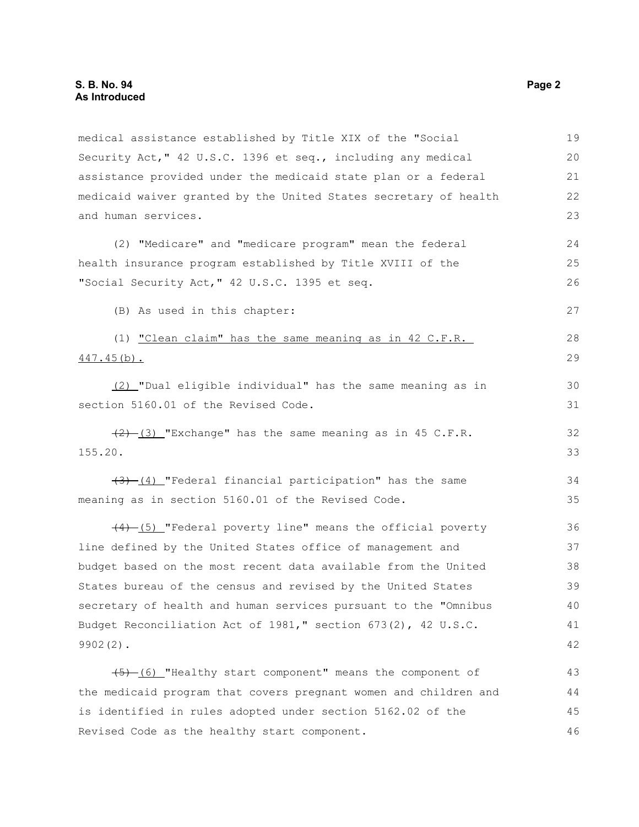medical assistance established by Title XIX of the "Social Security Act," 42 U.S.C. 1396 et seq., including any medical assistance provided under the medicaid state plan or a federal medicaid waiver granted by the United States secretary of health and human services. (2) "Medicare" and "medicare program" mean the federal health insurance program established by Title XVIII of the "Social Security Act," 42 U.S.C. 1395 et seq. (B) As used in this chapter: (1) "Clean claim" has the same meaning as in 42 C.F.R. 447.45(b). (2) "Dual eligible individual" has the same meaning as in section 5160.01 of the Revised Code.  $(2)$  (3) "Exchange" has the same meaning as in 45 C.F.R. 155.20.  $(3)$  (4) "Federal financial participation" has the same meaning as in section 5160.01 of the Revised Code. (4) (5) "Federal poverty line" means the official poverty line defined by the United States office of management and budget based on the most recent data available from the United States bureau of the census and revised by the United States secretary of health and human services pursuant to the "Omnibus Budget Reconciliation Act of 1981," section 673(2), 42 U.S.C. 9902(2). (5) (6) "Healthy start component" means the component of the medicaid program that covers pregnant women and children and 19 20 21 22 23 24 25 26 27 28 29 30 31 32 33 34 35 36 37 38 39 40 41 42 43 44

is identified in rules adopted under section 5162.02 of the

Revised Code as the healthy start component.

45 46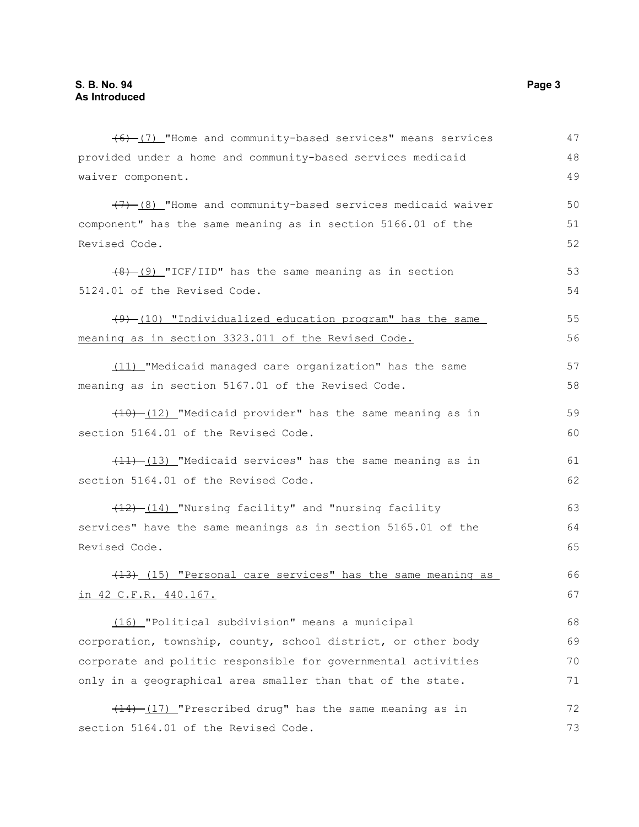(6) (7) "Home and community-based services" means services provided under a home and community-based services medicaid waiver component. (7) (8) "Home and community-based services medicaid waiver component" has the same meaning as in section 5166.01 of the Revised Code. (8) (9) "ICF/IID" has the same meaning as in section 5124.01 of the Revised Code.  $(49)$  (10) "Individualized education program" has the same meaning as in section 3323.011 of the Revised Code. (11) "Medicaid managed care organization" has the same meaning as in section 5167.01 of the Revised Code. (10) (12) "Medicaid provider" has the same meaning as in section 5164.01 of the Revised Code.  $(11)$  (13) "Medicaid services" has the same meaning as in section 5164.01 of the Revised Code. (12) (14) "Nursing facility" and "nursing facility services" have the same meanings as in section 5165.01 of the Revised Code. (13) (15) "Personal care services" has the same meaning as in 42 C.F.R. 440.167. (16) "Political subdivision" means a municipal corporation, township, county, school district, or other body corporate and politic responsible for governmental activities only in a geographical area smaller than that of the state.  $(14)$  (17) "Prescribed drug" has the same meaning as in section 5164.01 of the Revised Code. 47 48 49 50 51 52 53 54 55 56 57 58 59 60 61 62 63 64 65 66 67 68 69 70 71 72 73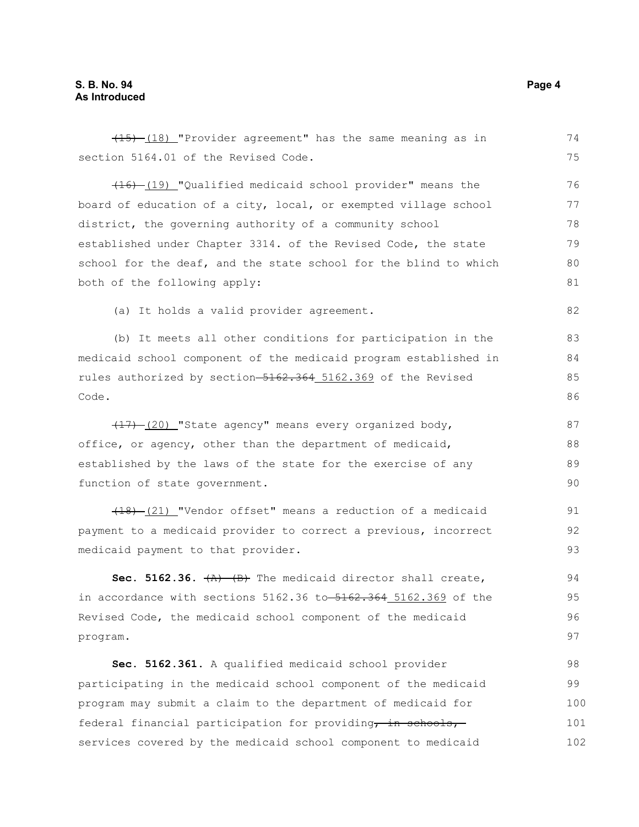#### **S. B. No. 94 Page 4 As Introduced**

| $(15)$ - $(18)$ "Provider agreement" has the same meaning as in  | 74  |
|------------------------------------------------------------------|-----|
| section 5164.01 of the Revised Code.                             | 75  |
| (19) [Qualified medicaid school provider" means the              | 76  |
| board of education of a city, local, or exempted village school  | 77  |
| district, the governing authority of a community school          | 78  |
| established under Chapter 3314. of the Revised Code, the state   | 79  |
| school for the deaf, and the state school for the blind to which | 80  |
| both of the following apply:                                     | 81  |
| (a) It holds a valid provider agreement.                         | 82  |
| (b) It meets all other conditions for participation in the       | 83  |
| medicaid school component of the medicaid program established in | 84  |
| rules authorized by section-5162.364 5162.369 of the Revised     | 85  |
| Code.                                                            | 86  |
| (17) (20) "State agency" means every organized body,             | 87  |
| office, or agency, other than the department of medicaid,        | 88  |
| established by the laws of the state for the exercise of any     | 89  |
| function of state government.                                    | 90  |
| $(18)$ $(21)$ "Vendor offset" means a reduction of a medicaid    | 91  |
| payment to a medicaid provider to correct a previous, incorrect  | 92  |
| medicaid payment to that provider.                               | 93  |
| Sec. 5162.36. $(A)$ $(B)$ The medicaid director shall create,    | 94  |
| in accordance with sections 5162.36 to 5162.364 5162.369 of the  | 95  |
| Revised Code, the medicaid school component of the medicaid      | 96  |
| program.                                                         | 97  |
| Sec. 5162.361. A qualified medicaid school provider              | 98  |
| participating in the medicaid school component of the medicaid   | 99  |
| program may submit a claim to the department of medicaid for     | 100 |
| federal financial participation for providing, in schools,       | 101 |
| services covered by the medicaid school component to medicaid    | 102 |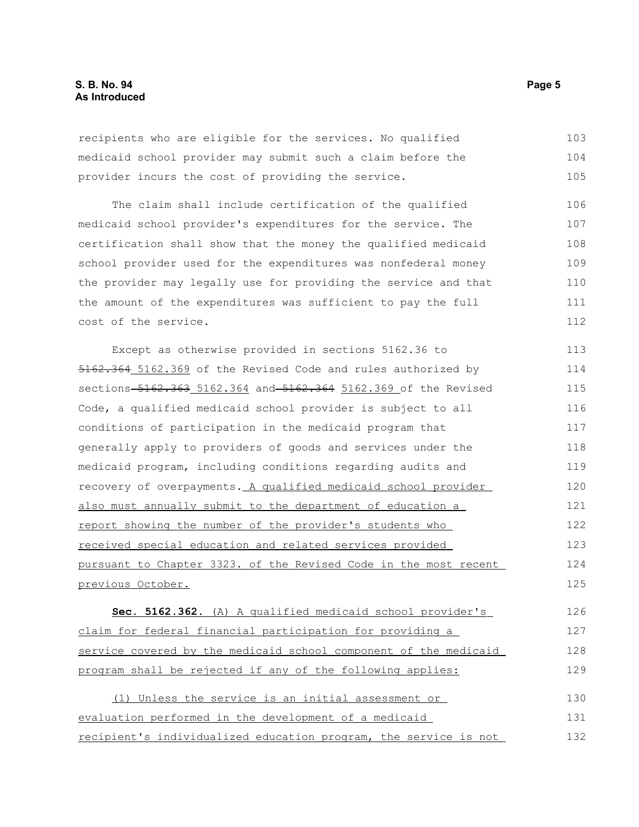recipients who are eligible for the services. No qualified medicaid school provider may submit such a claim before the provider incurs the cost of providing the service. 103 104 105

The claim shall include certification of the qualified medicaid school provider's expenditures for the service. The certification shall show that the money the qualified medicaid school provider used for the expenditures was nonfederal money the provider may legally use for providing the service and that the amount of the expenditures was sufficient to pay the full cost of the service. 106 107 108 109 110 111 112

Except as otherwise provided in sections 5162.36 to 5162.364 5162.369 of the Revised Code and rules authorized by sections 5162.363 5162.364 and 5162.364 5162.369 of the Revised Code, a qualified medicaid school provider is subject to all conditions of participation in the medicaid program that generally apply to providers of goods and services under the medicaid program, including conditions regarding audits and recovery of overpayments. A qualified medicaid school provider also must annually submit to the department of education a report showing the number of the provider's students who received special education and related services provided pursuant to Chapter 3323. of the Revised Code in the most recent previous October. 113 114 115 116 117 118 119 120 121 122 123 124 125

 **Sec. 5162.362.** (A) A qualified medicaid school provider's claim for federal financial participation for providing a service covered by the medicaid school component of the medicaid program shall be rejected if any of the following applies: 126 127 128 129

(1) Unless the service is an initial assessment or evaluation performed in the development of a medicaid recipient's individualized education program, the service is not 130 131 132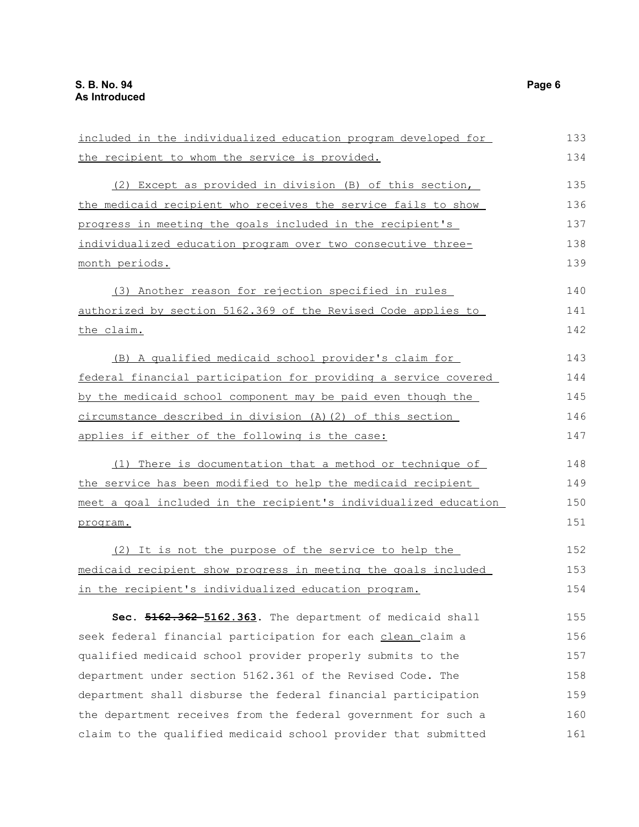| included in the individualized education program developed for   | 133 |
|------------------------------------------------------------------|-----|
| the recipient to whom the service is provided.                   | 134 |
| (2) Except as provided in division (B) of this section,          | 135 |
| the medicaid recipient who receives the service fails to show    | 136 |
|                                                                  |     |
| progress in meeting the goals included in the recipient's        | 137 |
| individualized education program over two consecutive three-     | 138 |
| month periods.                                                   | 139 |
| (3) Another reason for rejection specified in rules              | 140 |
| authorized by section 5162.369 of the Revised Code applies to    | 141 |
| the claim.                                                       | 142 |
| (B) A qualified medicaid school provider's claim for             | 143 |
| federal financial participation for providing a service covered  | 144 |
| by the medicaid school component may be paid even though the     | 145 |
| circumstance described in division (A) (2) of this section       | 146 |
| applies if either of the following is the case:                  | 147 |
| (1) There is documentation that a method or technique of         | 148 |
| the service has been modified to help the medicaid recipient     | 149 |
| meet a goal included in the recipient's individualized education | 150 |
| program.                                                         | 151 |
| (2) It is not the purpose of the service to help the             | 152 |
| medicaid recipient show progress in meeting the goals included   | 153 |
| in the recipient's individualized education program.             | 154 |
| Sec. 5162.362-5162.363. The department of medicaid shall         | 155 |
| seek federal financial participation for each clean claim a      | 156 |
| qualified medicaid school provider properly submits to the       | 157 |
| department under section 5162.361 of the Revised Code. The       | 158 |
| department shall disburse the federal financial participation    | 159 |
| the department receives from the federal government for such a   | 160 |
| claim to the qualified medicaid school provider that submitted   | 161 |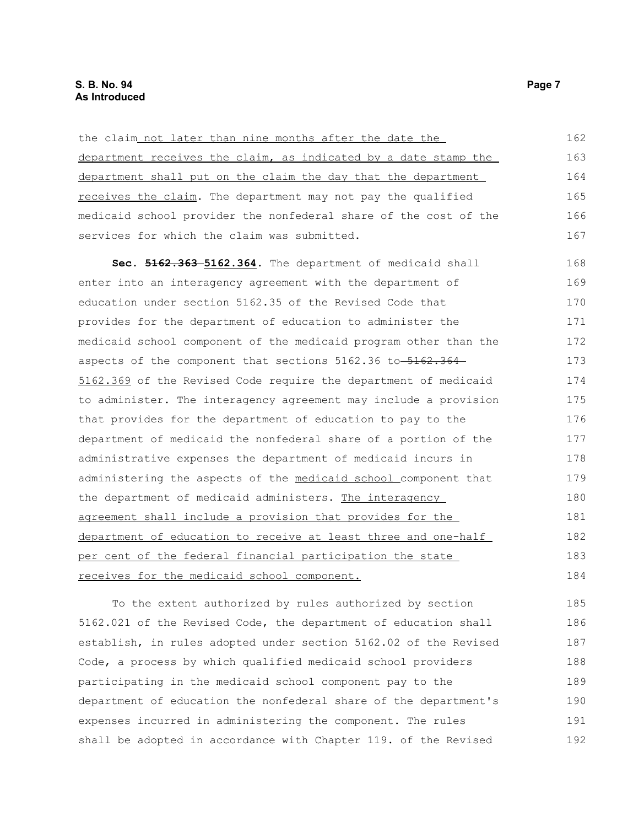| the claim not later than nine months after the date the          | 162 |
|------------------------------------------------------------------|-----|
| department receives the claim, as indicated by a date stamp the  | 163 |
| department shall put on the claim the day that the department    | 164 |
| receives the claim. The department may not pay the qualified     | 165 |
| medicaid school provider the nonfederal share of the cost of the | 166 |
| services for which the claim was submitted.                      | 167 |
| Sec. 5162.363-5162.364. The department of medicaid shall         | 168 |
| enter into an interagency agreement with the department of       | 169 |
| education under section 5162.35 of the Revised Code that         | 170 |
| provides for the department of education to administer the       | 171 |
| medicaid school component of the medicaid program other than the | 172 |
| aspects of the component that sections 5162.36 to 5162.364       | 173 |
| 5162.369 of the Revised Code require the department of medicaid  | 174 |
| to administer. The interagency agreement may include a provision | 175 |
| that provides for the department of education to pay to the      | 176 |
| department of medicaid the nonfederal share of a portion of the  | 177 |
| administrative expenses the department of medicaid incurs in     | 178 |
| administering the aspects of the medicaid school component that  | 179 |
| the department of medicaid administers. The interagency          | 180 |
| agreement shall include a provision that provides for the        | 181 |
| department of education to receive at least three and one-half   | 182 |
| per cent of the federal financial participation the state        | 183 |
| receives for the medicaid school component.                      | 184 |

To the extent authorized by rules authorized by section 5162.021 of the Revised Code, the department of education shall establish, in rules adopted under section 5162.02 of the Revised Code, a process by which qualified medicaid school providers participating in the medicaid school component pay to the department of education the nonfederal share of the department's expenses incurred in administering the component. The rules shall be adopted in accordance with Chapter 119. of the Revised 185 186 187 188 189 190 191 192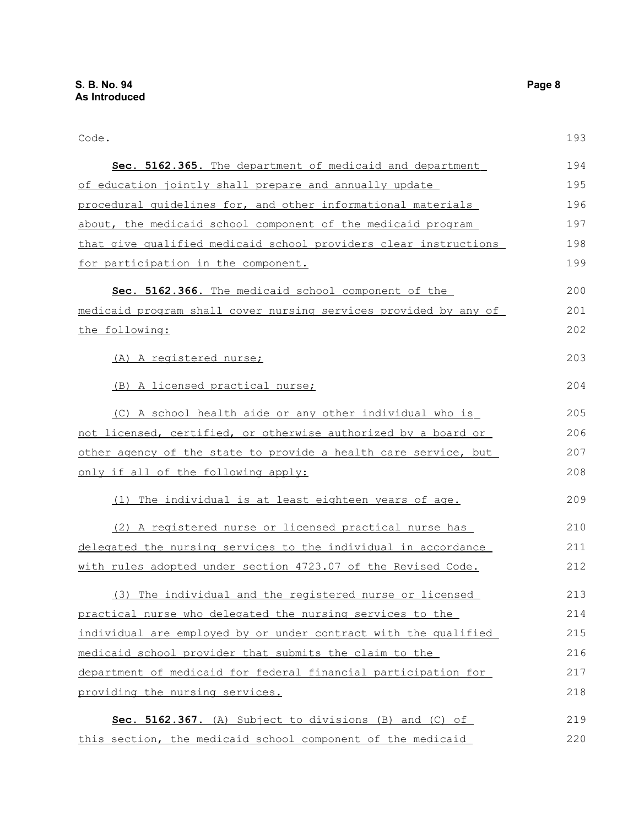Code.

 **Sec. 5162.365.** The department of medicaid and department of education jointly shall prepare and annually update procedural guidelines for, and other informational materials about, the medicaid school component of the medicaid program that give qualified medicaid school providers clear instructions for participation in the component. **Sec. 5162.366.** The medicaid school component of the medicaid program shall cover nursing services provided by any of the following: (A) A registered nurse; (B) A licensed practical nurse; (C) A school health aide or any other individual who is not licensed, certified, or otherwise authorized by a board or other agency of the state to provide a health care service, but only if all of the following apply: (1) The individual is at least eighteen years of age. (2) A registered nurse or licensed practical nurse has delegated the nursing services to the individual in accordance with rules adopted under section 4723.07 of the Revised Code. (3) The individual and the registered nurse or licensed practical nurse who delegated the nursing services to the individual are employed by or under contract with the qualified medicaid school provider that submits the claim to the department of medicaid for federal financial participation for providing the nursing services. **Sec. 5162.367.** (A) Subject to divisions (B) and (C) of 194 195 196 197 198 199 200 201 202 203 204 205 206 207 208 209 210 211 212 213 214 215 216 217 218 219

this section, the medicaid school component of the medicaid

193

220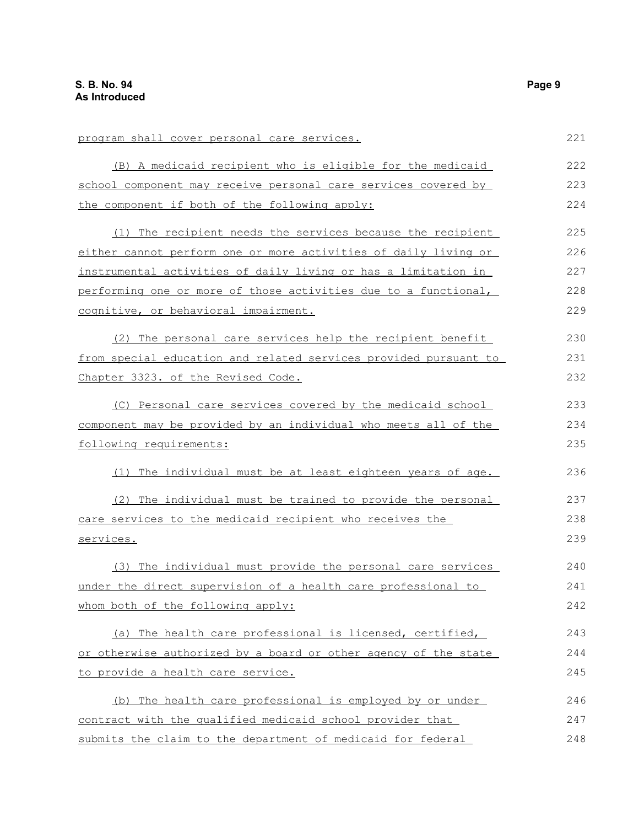| program shall cover personal care services.                      | 221 |
|------------------------------------------------------------------|-----|
| (B) A medicaid recipient who is eligible for the medicaid        | 222 |
| school component may receive personal care services covered by   | 223 |
| the component if both of the following apply:                    | 224 |
| (1) The recipient needs the services because the recipient       | 225 |
| either cannot perform one or more activities of daily living or  | 226 |
| instrumental activities of daily living or has a limitation in   | 227 |
| performing one or more of those activities due to a functional,  | 228 |
| cognitive, or behavioral impairment.                             | 229 |
| (2) The personal care services help the recipient benefit        | 230 |
| from special education and related services provided pursuant to | 231 |
| Chapter 3323. of the Revised Code.                               | 232 |
| (C) Personal care services covered by the medicaid school        | 233 |
| component may be provided by an individual who meets all of the  | 234 |
| following requirements:                                          | 235 |
| The individual must be at least eighteen years of age.<br>(1)    | 236 |
| (2) The individual must be trained to provide the personal       | 237 |
| care services to the medicaid recipient who receives the         | 238 |
| services.                                                        | 239 |
| (3) The individual must provide the personal care services       | 240 |
| under the direct supervision of a health care professional to    | 241 |
| whom both of the following apply:                                | 242 |
| (a) The health care professional is licensed, certified,         | 243 |
| or otherwise authorized by a board or other agency of the state  | 244 |
| to provide a health care service.                                | 245 |
| (b) The health care professional is employed by or under         | 246 |
| contract with the qualified medicaid school provider that        | 247 |
| submits the claim to the department of medicaid for federal      | 248 |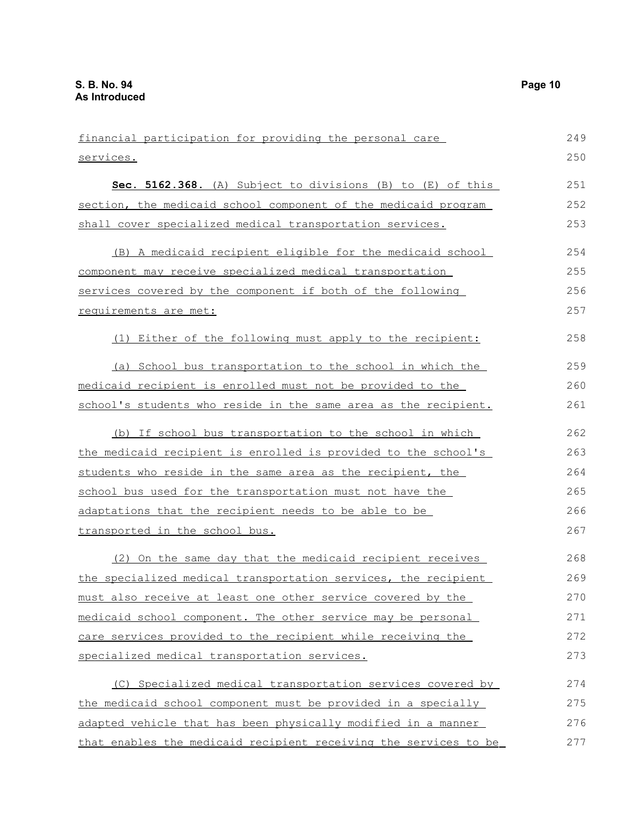financial participation for providing the personal care services. **Sec. 5162.368.** (A) Subject to divisions (B) to (E) of this section, the medicaid school component of the medicaid program shall cover specialized medical transportation services. (B) A medicaid recipient eligible for the medicaid school component may receive specialized medical transportation services covered by the component if both of the following requirements are met: (1) Either of the following must apply to the recipient: (a) School bus transportation to the school in which the medicaid recipient is enrolled must not be provided to the school's students who reside in the same area as the recipient. (b) If school bus transportation to the school in which the medicaid recipient is enrolled is provided to the school's students who reside in the same area as the recipient, the school bus used for the transportation must not have the adaptations that the recipient needs to be able to be transported in the school bus. (2) On the same day that the medicaid recipient receives the specialized medical transportation services, the recipient must also receive at least one other service covered by the medicaid school component. The other service may be personal care services provided to the recipient while receiving the specialized medical transportation services. (C) Specialized medical transportation services covered by the medicaid school component must be provided in a specially adapted vehicle that has been physically modified in a manner that enables the medicaid recipient receiving the services to be 249 250 251 252 253 254 255 256 257 258 259 260 261 262 263 264 265 266 267 268 269 270 271 272 273 274 275 276 277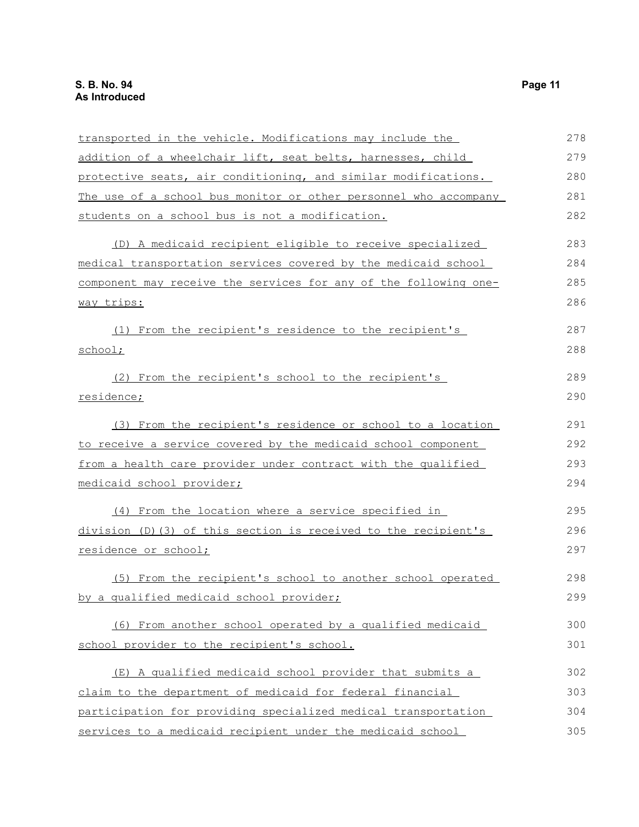| transported in the vehicle. Modifications may include the         | 278 |
|-------------------------------------------------------------------|-----|
| addition of a wheelchair lift, seat belts, harnesses, child       | 279 |
| protective seats, air conditioning, and similar modifications.    | 280 |
| The use of a school bus monitor or other personnel who accompany  | 281 |
| students on a school bus is not a modification.                   | 282 |
| (D) A medicaid recipient eligible to receive specialized          | 283 |
| medical transportation services covered by the medicaid school    | 284 |
| component may receive the services for any of the following one-  | 285 |
| way trips:                                                        | 286 |
| (1) From the recipient's residence to the recipient's             | 287 |
| school;                                                           | 288 |
| (2) From the recipient's school to the recipient's                | 289 |
| residence;                                                        | 290 |
| (3) From the recipient's residence or school to a location        | 291 |
| to receive a service covered by the medicaid school component     | 292 |
| from a health care provider under contract with the qualified     | 293 |
| medicaid school provider;                                         | 294 |
| (4) From the location where a service specified in                | 295 |
| $division (D) (3) of this section is received to the recipient's$ | 296 |
| residence or school;                                              | 297 |
| (5) From the recipient's school to another school operated        | 298 |
| by a qualified medicaid school provider;                          | 299 |
| (6) From another school operated by a qualified medicaid          | 300 |
| school provider to the recipient's school.                        | 301 |
| (E) A qualified medicaid school provider that submits a           | 302 |
| claim to the department of medicaid for federal financial         | 303 |
| participation for providing specialized medical transportation    | 304 |
| services to a medicaid recipient under the medicaid school        | 305 |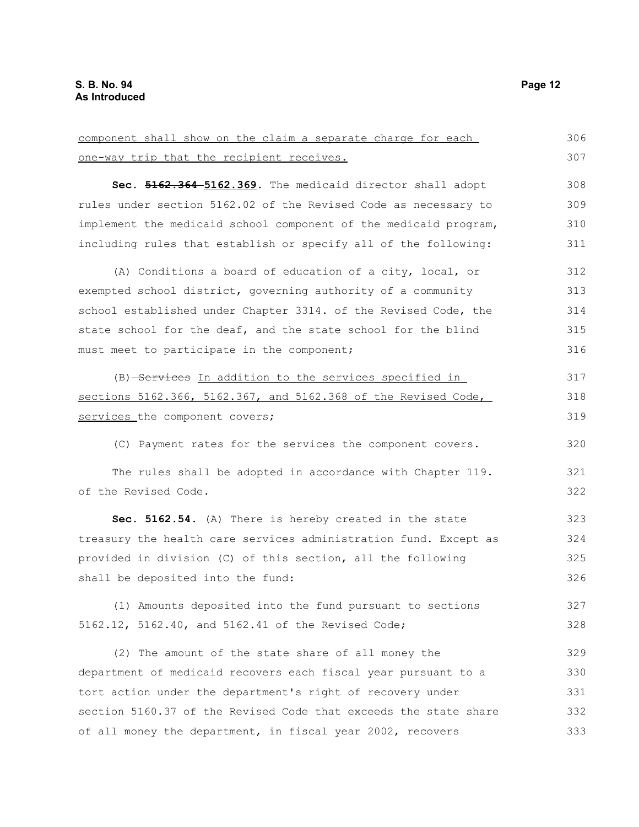| component shall show on the claim a separate charge for each     | 306 |
|------------------------------------------------------------------|-----|
| one-way trip that the recipient receives.                        | 307 |
| Sec. 5162.364-5162.369. The medicaid director shall adopt        | 308 |
| rules under section 5162.02 of the Revised Code as necessary to  | 309 |
| implement the medicaid school component of the medicaid program, | 310 |
| including rules that establish or specify all of the following:  | 311 |
| (A) Conditions a board of education of a city, local, or         | 312 |
| exempted school district, governing authority of a community     | 313 |
| school established under Chapter 3314. of the Revised Code, the  | 314 |
| state school for the deaf, and the state school for the blind    | 315 |
| must meet to participate in the component;                       | 316 |
| (B) Services In addition to the services specified in            | 317 |
| sections 5162.366, 5162.367, and 5162.368 of the Revised Code,   | 318 |
| services the component covers;                                   | 319 |
| (C) Payment rates for the services the component covers.         | 320 |
| The rules shall be adopted in accordance with Chapter 119.       | 321 |
| of the Revised Code.                                             | 322 |
| Sec. 5162.54. (A) There is hereby created in the state           | 323 |
| treasury the health care services administration fund. Except as | 324 |
| provided in division (C) of this section, all the following      | 325 |
| shall be deposited into the fund:                                | 326 |
| (1) Amounts deposited into the fund pursuant to sections         | 327 |
| 5162.12, 5162.40, and 5162.41 of the Revised Code;               | 328 |
| (2) The amount of the state share of all money the               | 329 |
| department of medicaid recovers each fiscal year pursuant to a   | 330 |
| tort action under the department's right of recovery under       | 331 |
| section 5160.37 of the Revised Code that exceeds the state share | 332 |
| of all money the department, in fiscal year 2002, recovers       | 333 |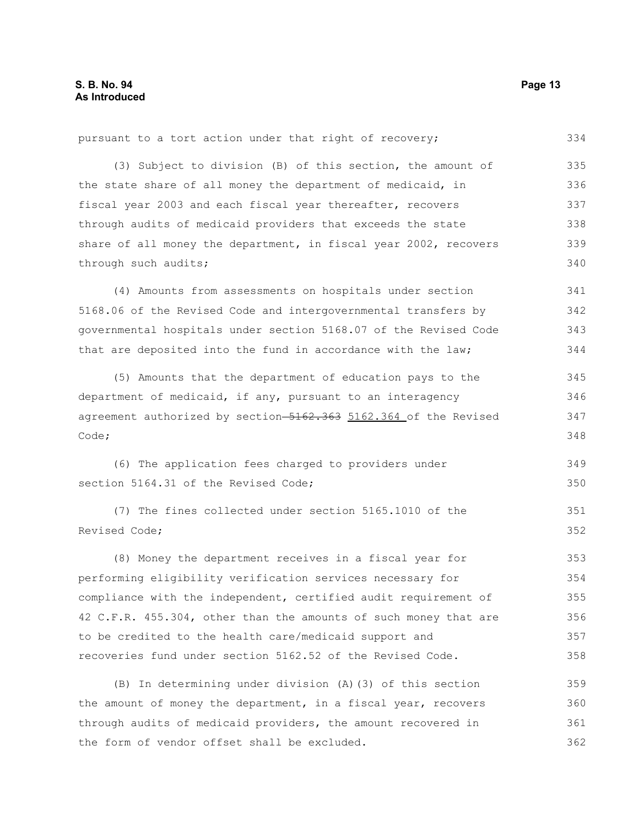(3) Subject to division (B) of this section, the amount of the state share of all money the department of medicaid, in fiscal year 2003 and each fiscal year thereafter, recovers through audits of medicaid providers that exceeds the state share of all money the department, in fiscal year 2002, recovers through such audits; 335 336 337 338 339 340

pursuant to a tort action under that right of recovery;

(4) Amounts from assessments on hospitals under section 5168.06 of the Revised Code and intergovernmental transfers by governmental hospitals under section 5168.07 of the Revised Code that are deposited into the fund in accordance with the law; 341 342 343 344

(5) Amounts that the department of education pays to the department of medicaid, if any, pursuant to an interagency agreement authorized by section-5162.363 5162.364 of the Revised Code; 345 346 347 348

(6) The application fees charged to providers under section 5164.31 of the Revised Code: 349 350

(7) The fines collected under section 5165.1010 of the Revised Code; 351 352

(8) Money the department receives in a fiscal year for performing eligibility verification services necessary for compliance with the independent, certified audit requirement of 42 C.F.R. 455.304, other than the amounts of such money that are to be credited to the health care/medicaid support and recoveries fund under section 5162.52 of the Revised Code. 353 354 355 356 357 358

(B) In determining under division (A)(3) of this section the amount of money the department, in a fiscal year, recovers through audits of medicaid providers, the amount recovered in the form of vendor offset shall be excluded. 359 360 361 362

334